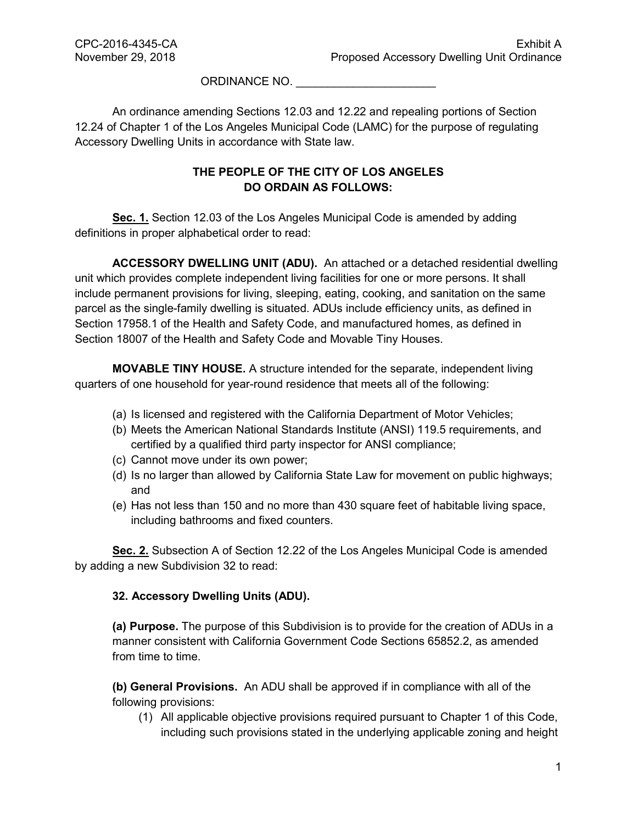ORDINANCE NO.

An ordinance amending Sections 12.03 and 12.22 and repealing portions of Section 12.24 of Chapter 1 of the Los Angeles Municipal Code (LAMC) for the purpose of regulating Accessory Dwelling Units in accordance with State law.

## **THE PEOPLE OF THE CITY OF LOS ANGELES DO ORDAIN AS FOLLOWS:**

**Sec. 1.** Section 12.03 of the Los Angeles Municipal Code is amended by adding definitions in proper alphabetical order to read:

**ACCESSORY DWELLING UNIT (ADU).** An attached or a detached residential dwelling unit which provides complete independent living facilities for one or more persons. It shall include permanent provisions for living, sleeping, eating, cooking, and sanitation on the same parcel as the single-family dwelling is situated. ADUs include efficiency units, as defined in Section 17958.1 of the Health and Safety Code, and manufactured homes, as defined in Section 18007 of the Health and Safety Code and Movable Tiny Houses.

**MOVABLE TINY HOUSE.** A structure intended for the separate, independent living quarters of one household for year-round residence that meets all of the following:

- (a) Is licensed and registered with the California Department of Motor Vehicles;
- (b) Meets the American National Standards Institute (ANSI) 119.5 requirements, and certified by a qualified third party inspector for ANSI compliance;
- (c) Cannot move under its own power;
- (d) Is no larger than allowed by California State Law for movement on public highways; and
- (e) Has not less than 150 and no more than 430 square feet of habitable living space, including bathrooms and fixed counters.

**Sec. 2.** Subsection A of Section 12.22 of the Los Angeles Municipal Code is amended by adding a new Subdivision 32 to read:

## **32. Accessory Dwelling Units (ADU).**

**(a) Purpose.** The purpose of this Subdivision is to provide for the creation of ADUs in a manner consistent with California Government Code Sections 65852.2, as amended from time to time.

**(b) General Provisions.** An ADU shall be approved if in compliance with all of the following provisions:

(1) All applicable objective provisions required pursuant to Chapter 1 of this Code, including such provisions stated in the underlying applicable zoning and height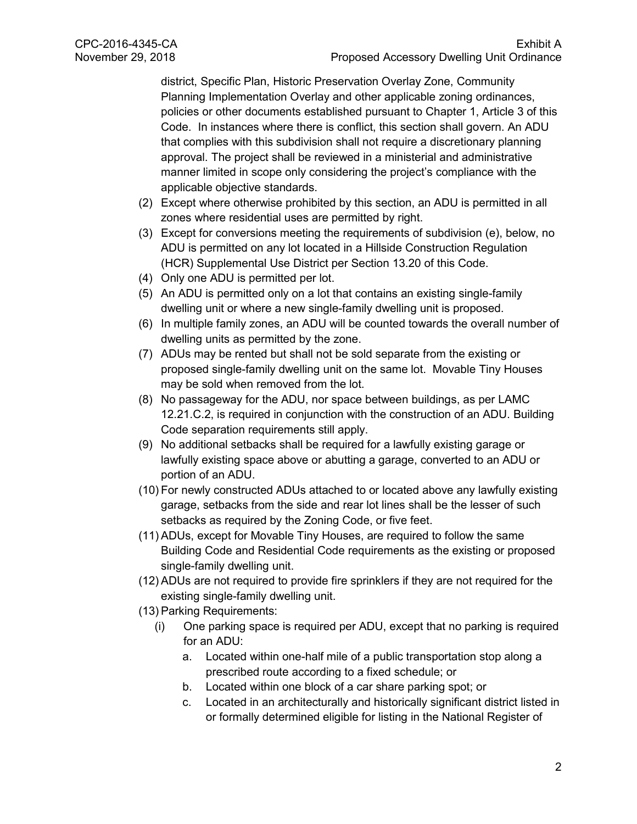district, Specific Plan, Historic Preservation Overlay Zone, Community Planning Implementation Overlay and other applicable zoning ordinances, policies or other documents established pursuant to Chapter 1, Article 3 of this Code. In instances where there is conflict, this section shall govern. An ADU that complies with this subdivision shall not require a discretionary planning approval. The project shall be reviewed in a ministerial and administrative manner limited in scope only considering the project's compliance with the applicable objective standards.

- (2) Except where otherwise prohibited by this section, an ADU is permitted in all zones where residential uses are permitted by right.
- (3) Except for conversions meeting the requirements of subdivision (e), below, no ADU is permitted on any lot located in a Hillside Construction Regulation (HCR) Supplemental Use District per Section 13.20 of this Code.
- (4) Only one ADU is permitted per lot.
- (5) An ADU is permitted only on a lot that contains an existing single-family dwelling unit or where a new single-family dwelling unit is proposed.
- (6) In multiple family zones, an ADU will be counted towards the overall number of dwelling units as permitted by the zone.
- (7) ADUs may be rented but shall not be sold separate from the existing or proposed single-family dwelling unit on the same lot. Movable Tiny Houses may be sold when removed from the lot.
- (8) No passageway for the ADU, nor space between buildings, as per LAMC 12.21.C.2, is required in conjunction with the construction of an ADU. Building Code separation requirements still apply.
- (9) No additional setbacks shall be required for a lawfully existing garage or lawfully existing space above or abutting a garage, converted to an ADU or portion of an ADU.
- (10) For newly constructed ADUs attached to or located above any lawfully existing garage, setbacks from the side and rear lot lines shall be the lesser of such setbacks as required by the Zoning Code, or five feet.
- (11) ADUs, except for Movable Tiny Houses, are required to follow the same Building Code and Residential Code requirements as the existing or proposed single-family dwelling unit.
- (12) ADUs are not required to provide fire sprinklers if they are not required for the existing single-family dwelling unit.
- (13) Parking Requirements:
	- (i) One parking space is required per ADU, except that no parking is required for an ADU:
		- a. Located within one-half mile of a public transportation stop along a prescribed route according to a fixed schedule; or
		- b. Located within one block of a car share parking spot; or
		- c. Located in an architecturally and historically significant district listed in or formally determined eligible for listing in the National Register of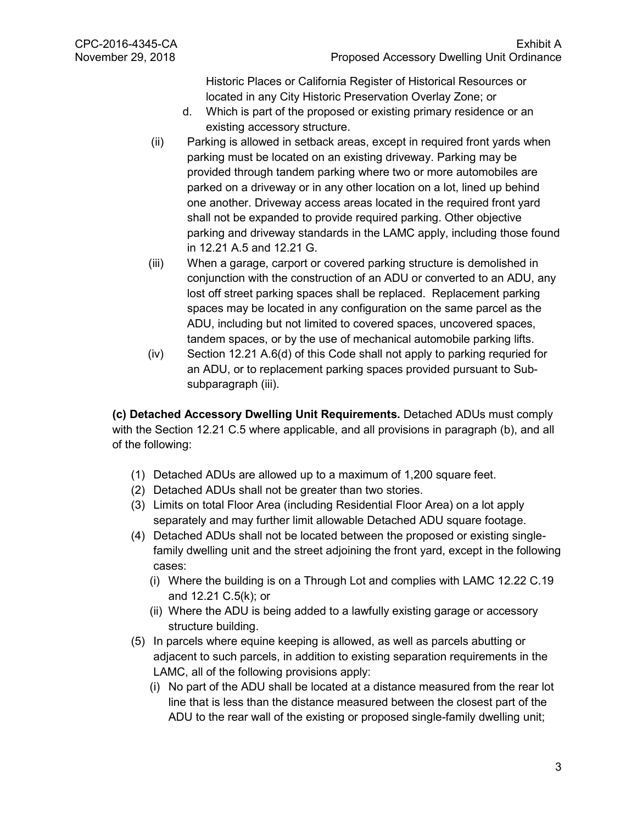Historic Places or California Register of Historical Resources or located in any City Historic Preservation Overlay Zone; or

- d. Which is part of the proposed or existing primary residence or an existing accessory structure.
- (ii) Parking is allowed in setback areas, except in required front yards when parking must be located on an existing driveway. Parking may be provided through tandem parking where two or more automobiles are parked on a driveway or in any other location on a lot, lined up behind one another. Driveway access areas located in the required front yard shall not be expanded to provide required parking. Other objective parking and driveway standards in the LAMC apply, including those found in 12.21 A.5 and 12.21 G.
- (iii) When a garage, carport or covered parking structure is demolished in conjunction with the construction of an ADU or converted to an ADU, any lost off street parking spaces shall be replaced. Replacement parking spaces may be located in any configuration on the same parcel as the ADU, including but not limited to covered spaces, uncovered spaces, tandem spaces, or by the use of mechanical automobile parking lifts.
- (iv) Section 12.21 A.6(d) of this Code shall not apply to parking requried for an ADU, or to replacement parking spaces provided pursuant to Subsubparagraph (iii).

**(c) Detached Accessory Dwelling Unit Requirements.** Detached ADUs must comply with the Section 12.21 C.5 where applicable, and all provisions in paragraph (b), and all of the following:

- (1) Detached ADUs are allowed up to a maximum of 1,200 square feet.
- (2) Detached ADUs shall not be greater than two stories.
- (3) Limits on total Floor Area (including Residential Floor Area) on a lot apply separately and may further limit allowable Detached ADU square footage.
- (4) Detached ADUs shall not be located between the proposed or existing singlefamily dwelling unit and the street adjoining the front yard, except in the following cases:
	- (i) Where the building is on a Through Lot and complies with LAMC 12.22 C.19 and 12.21 C.5(k); or
	- (ii) Where the ADU is being added to a lawfully existing garage or accessory structure building.
- (5) In parcels where equine keeping is allowed, as well as parcels abutting or adjacent to such parcels, in addition to existing separation requirements in the LAMC, all of the following provisions apply:
	- (i) No part of the ADU shall be located at a distance measured from the rear lot line that is less than the distance measured between the closest part of the ADU to the rear wall of the existing or proposed single-family dwelling unit;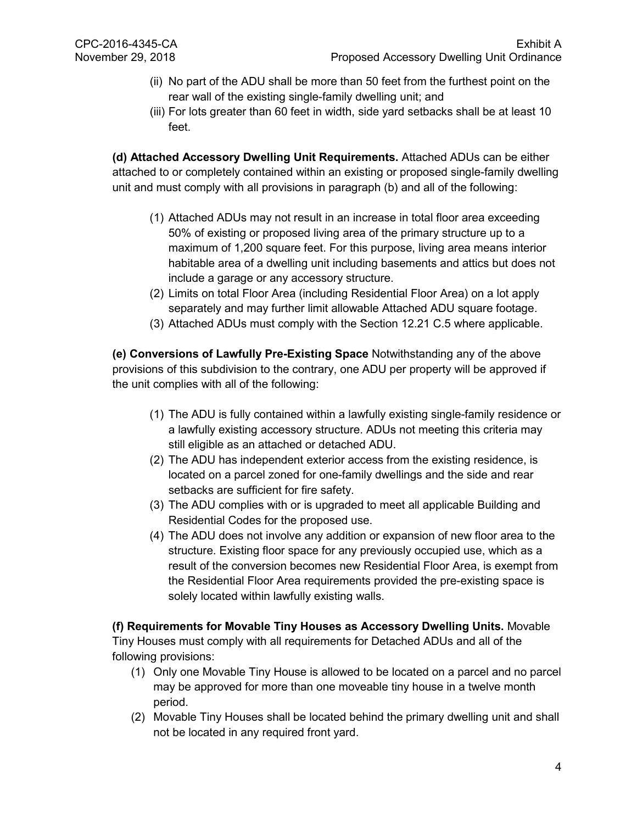- (ii) No part of the ADU shall be more than 50 feet from the furthest point on the rear wall of the existing single-family dwelling unit; and
- (iii) For lots greater than 60 feet in width, side yard setbacks shall be at least 10 feet.

**(d) Attached Accessory Dwelling Unit Requirements.** Attached ADUs can be either attached to or completely contained within an existing or proposed single-family dwelling unit and must comply with all provisions in paragraph (b) and all of the following:

- (1) Attached ADUs may not result in an increase in total floor area exceeding 50% of existing or proposed living area of the primary structure up to a maximum of 1,200 square feet. For this purpose, living area means interior habitable area of a dwelling unit including basements and attics but does not include a garage or any accessory structure.
- (2) Limits on total Floor Area (including Residential Floor Area) on a lot apply separately and may further limit allowable Attached ADU square footage.
- (3) Attached ADUs must comply with the Section 12.21 C.5 where applicable.

**(e) Conversions of Lawfully Pre-Existing Space** Notwithstanding any of the above provisions of this subdivision to the contrary, one ADU per property will be approved if the unit complies with all of the following:

- (1) The ADU is fully contained within a lawfully existing single-family residence or a lawfully existing accessory structure. ADUs not meeting this criteria may still eligible as an attached or detached ADU.
- (2) The ADU has independent exterior access from the existing residence, is located on a parcel zoned for one-family dwellings and the side and rear setbacks are sufficient for fire safety.
- (3) The ADU complies with or is upgraded to meet all applicable Building and Residential Codes for the proposed use.
- (4) The ADU does not involve any addition or expansion of new floor area to the structure. Existing floor space for any previously occupied use, which as a result of the conversion becomes new Residential Floor Area, is exempt from the Residential Floor Area requirements provided the pre-existing space is solely located within lawfully existing walls.

**(f) Requirements for Movable Tiny Houses as Accessory Dwelling Units.** Movable Tiny Houses must comply with all requirements for Detached ADUs and all of the following provisions:

- (1) Only one Movable Tiny House is allowed to be located on a parcel and no parcel may be approved for more than one moveable tiny house in a twelve month period.
- (2) Movable Tiny Houses shall be located behind the primary dwelling unit and shall not be located in any required front yard.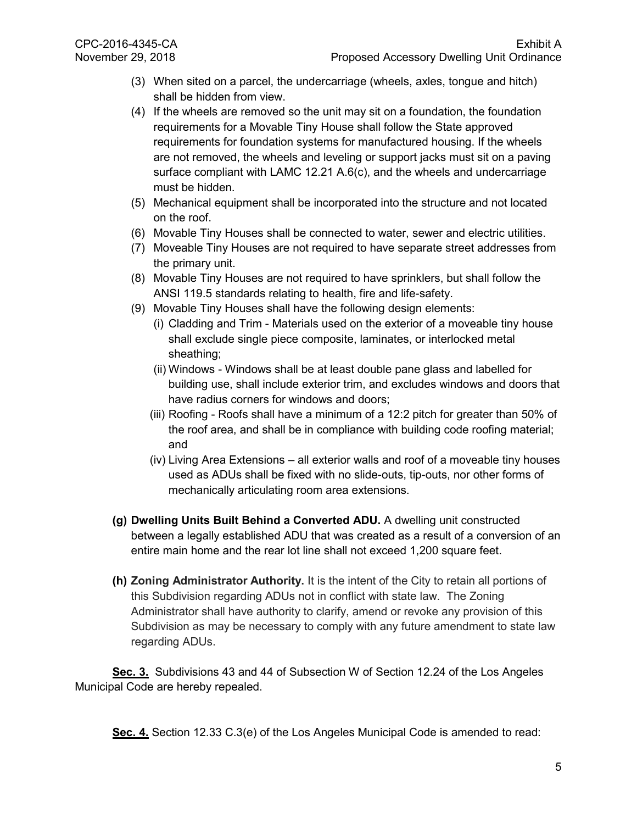- (3) When sited on a parcel, the undercarriage (wheels, axles, tongue and hitch) shall be hidden from view.
- (4) If the wheels are removed so the unit may sit on a foundation, the foundation requirements for a Movable Tiny House shall follow the State approved requirements for foundation systems for manufactured housing. If the wheels are not removed, the wheels and leveling or support jacks must sit on a paving surface compliant with LAMC 12.21 A.6(c), and the wheels and undercarriage must be hidden.
- (5) Mechanical equipment shall be incorporated into the structure and not located on the roof.
- (6) Movable Tiny Houses shall be connected to water, sewer and electric utilities.
- (7) Moveable Tiny Houses are not required to have separate street addresses from the primary unit.
- (8) Movable Tiny Houses are not required to have sprinklers, but shall follow the ANSI 119.5 standards relating to health, fire and life-safety.
- (9) Movable Tiny Houses shall have the following design elements:
	- (i) Cladding and Trim Materials used on the exterior of a moveable tiny house shall exclude single piece composite, laminates, or interlocked metal sheathing;
	- (ii) Windows Windows shall be at least double pane glass and labelled for building use, shall include exterior trim, and excludes windows and doors that have radius corners for windows and doors;
	- (iii) Roofing Roofs shall have a minimum of a 12:2 pitch for greater than 50% of the roof area, and shall be in compliance with building code roofing material; and
	- (iv) Living Area Extensions all exterior walls and roof of a moveable tiny houses used as ADUs shall be fixed with no slide-outs, tip-outs, nor other forms of mechanically articulating room area extensions.
- **(g) Dwelling Units Built Behind a Converted ADU.** A dwelling unit constructed between a legally established ADU that was created as a result of a conversion of an entire main home and the rear lot line shall not exceed 1,200 square feet.
- **(h) Zoning Administrator Authority.** It is the intent of the City to retain all portions of this Subdivision regarding ADUs not in conflict with state law. The Zoning Administrator shall have authority to clarify, amend or revoke any provision of this Subdivision as may be necessary to comply with any future amendment to state law regarding ADUs.

**Sec. 3.** Subdivisions 43 and 44 of Subsection W of Section 12.24 of the Los Angeles Municipal Code are hereby repealed.

**Sec. 4.** Section 12.33 C.3(e) of the Los Angeles Municipal Code is amended to read: